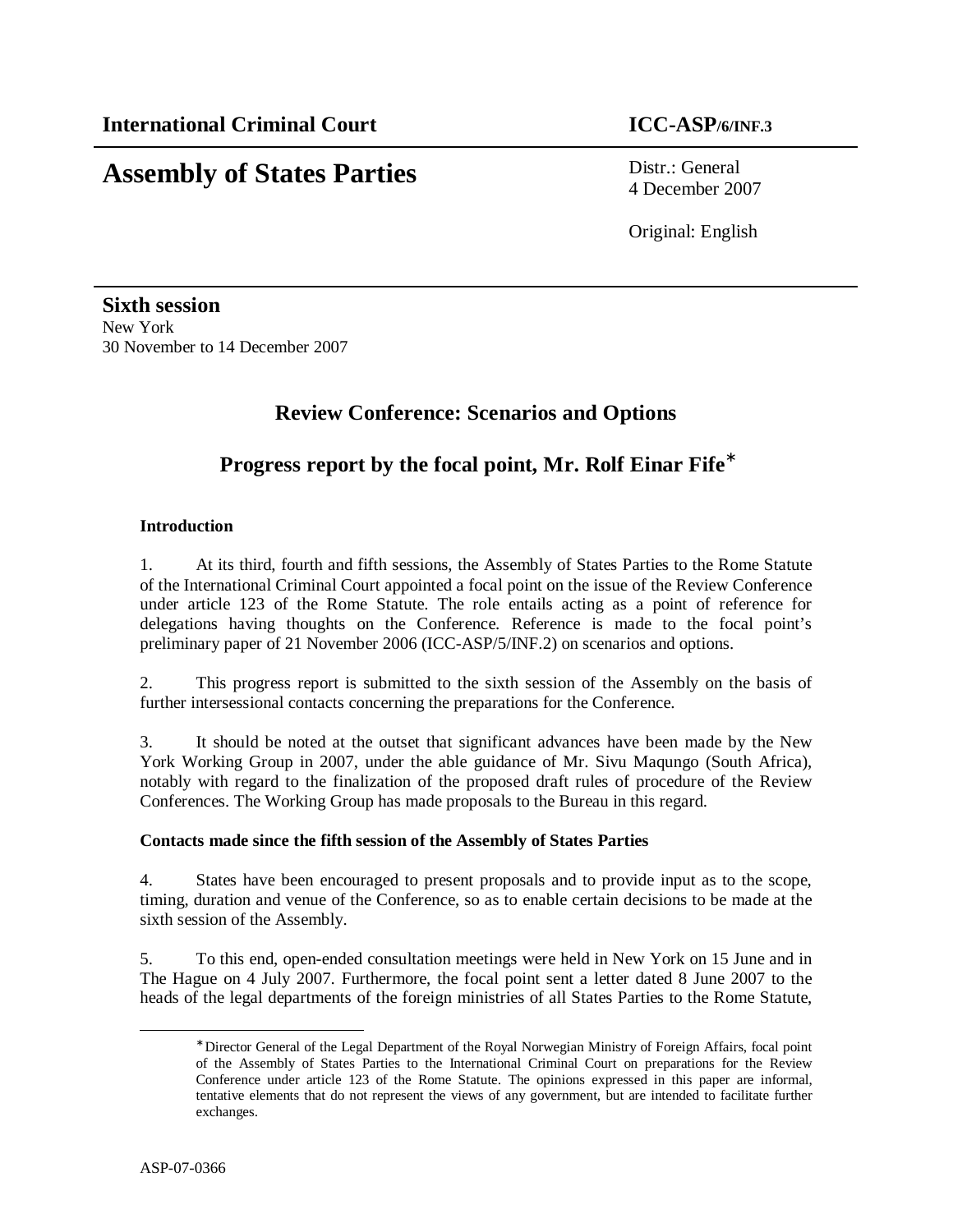# **Assembly of States Parties** Distr.: General

4 December 2007

Original: English

**Sixth session**  New York 30 November to 14 December 2007

# **Review Conference: Scenarios and Options**

# **Progress report by the focal point, Mr. Rolf Einar Fife**<sup>∗</sup>

# **Introduction**

1. At its third, fourth and fifth sessions, the Assembly of States Parties to the Rome Statute of the International Criminal Court appointed a focal point on the issue of the Review Conference under article 123 of the Rome Statute. The role entails acting as a point of reference for delegations having thoughts on the Conference. Reference is made to the focal point's preliminary paper of 21 November 2006 (ICC-ASP/5/INF.2) on scenarios and options.

2. This progress report is submitted to the sixth session of the Assembly on the basis of further intersessional contacts concerning the preparations for the Conference.

3. It should be noted at the outset that significant advances have been made by the New York Working Group in 2007, under the able guidance of Mr. Sivu Maqungo (South Africa), notably with regard to the finalization of the proposed draft rules of procedure of the Review Conferences. The Working Group has made proposals to the Bureau in this regard.

## **Contacts made since the fifth session of the Assembly of States Parties**

4. States have been encouraged to present proposals and to provide input as to the scope, timing, duration and venue of the Conference, so as to enable certain decisions to be made at the sixth session of the Assembly.

5. To this end, open-ended consultation meetings were held in New York on 15 June and in The Hague on 4 July 2007. Furthermore, the focal point sent a letter dated 8 June 2007 to the heads of the legal departments of the foreign ministries of all States Parties to the Rome Statute,

-

<sup>∗</sup> Director General of the Legal Department of the Royal Norwegian Ministry of Foreign Affairs, focal point of the Assembly of States Parties to the International Criminal Court on preparations for the Review Conference under article 123 of the Rome Statute. The opinions expressed in this paper are informal, tentative elements that do not represent the views of any government, but are intended to facilitate further exchanges.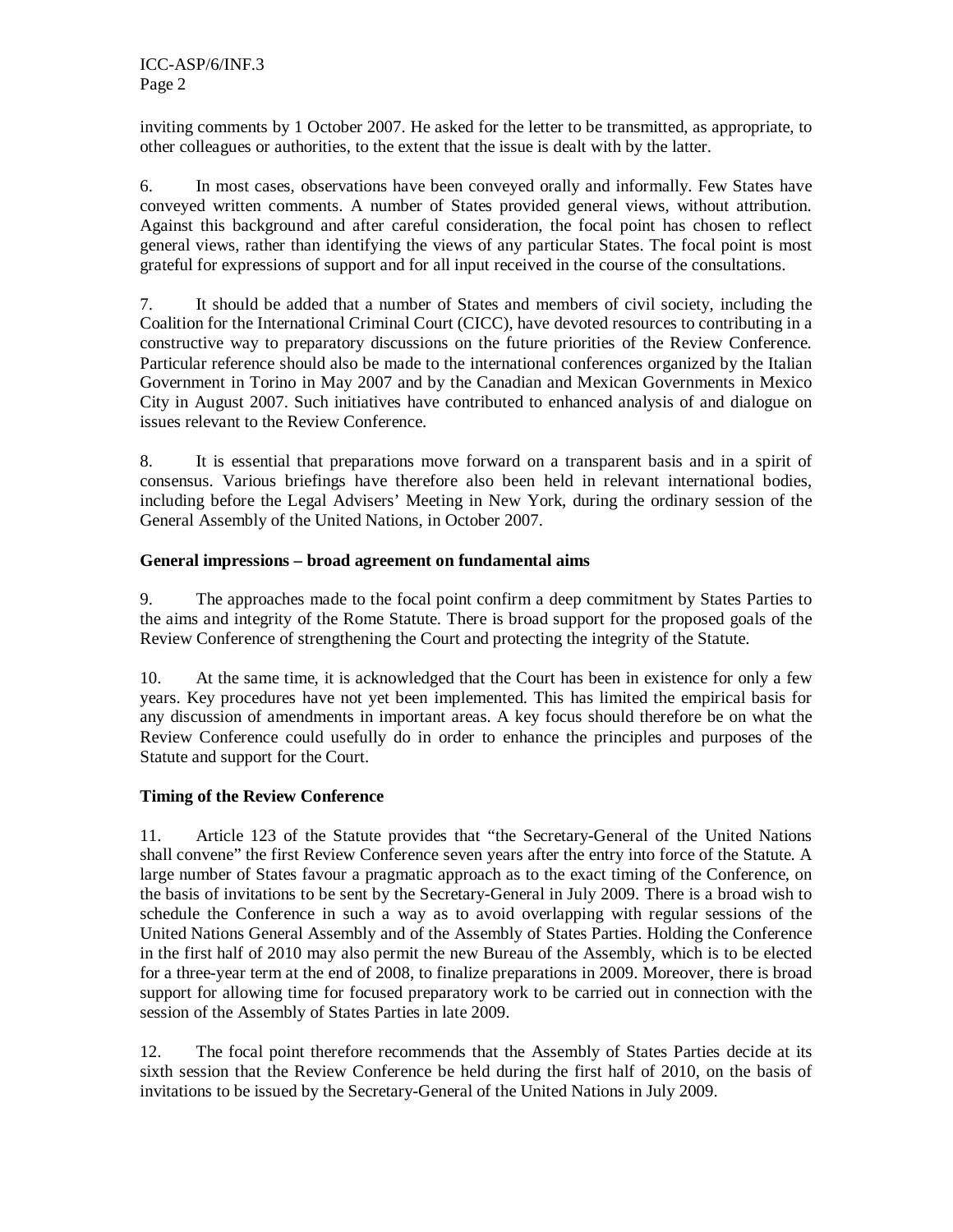inviting comments by 1 October 2007. He asked for the letter to be transmitted, as appropriate, to other colleagues or authorities, to the extent that the issue is dealt with by the latter.

6. In most cases, observations have been conveyed orally and informally. Few States have conveyed written comments. A number of States provided general views, without attribution. Against this background and after careful consideration, the focal point has chosen to reflect general views, rather than identifying the views of any particular States. The focal point is most grateful for expressions of support and for all input received in the course of the consultations.

7. It should be added that a number of States and members of civil society, including the Coalition for the International Criminal Court (CICC), have devoted resources to contributing in a constructive way to preparatory discussions on the future priorities of the Review Conference. Particular reference should also be made to the international conferences organized by the Italian Government in Torino in May 2007 and by the Canadian and Mexican Governments in Mexico City in August 2007. Such initiatives have contributed to enhanced analysis of and dialogue on issues relevant to the Review Conference.

8. It is essential that preparations move forward on a transparent basis and in a spirit of consensus. Various briefings have therefore also been held in relevant international bodies, including before the Legal Advisers' Meeting in New York, during the ordinary session of the General Assembly of the United Nations, in October 2007.

## **General impressions – broad agreement on fundamental aims**

9. The approaches made to the focal point confirm a deep commitment by States Parties to the aims and integrity of the Rome Statute. There is broad support for the proposed goals of the Review Conference of strengthening the Court and protecting the integrity of the Statute.

10. At the same time, it is acknowledged that the Court has been in existence for only a few years. Key procedures have not yet been implemented. This has limited the empirical basis for any discussion of amendments in important areas. A key focus should therefore be on what the Review Conference could usefully do in order to enhance the principles and purposes of the Statute and support for the Court.

# **Timing of the Review Conference**

11. Article 123 of the Statute provides that "the Secretary-General of the United Nations shall convene" the first Review Conference seven years after the entry into force of the Statute. A large number of States favour a pragmatic approach as to the exact timing of the Conference, on the basis of invitations to be sent by the Secretary-General in July 2009. There is a broad wish to schedule the Conference in such a way as to avoid overlapping with regular sessions of the United Nations General Assembly and of the Assembly of States Parties. Holding the Conference in the first half of 2010 may also permit the new Bureau of the Assembly, which is to be elected for a three-year term at the end of 2008, to finalize preparations in 2009. Moreover, there is broad support for allowing time for focused preparatory work to be carried out in connection with the session of the Assembly of States Parties in late 2009.

12. The focal point therefore recommends that the Assembly of States Parties decide at its sixth session that the Review Conference be held during the first half of 2010, on the basis of invitations to be issued by the Secretary-General of the United Nations in July 2009.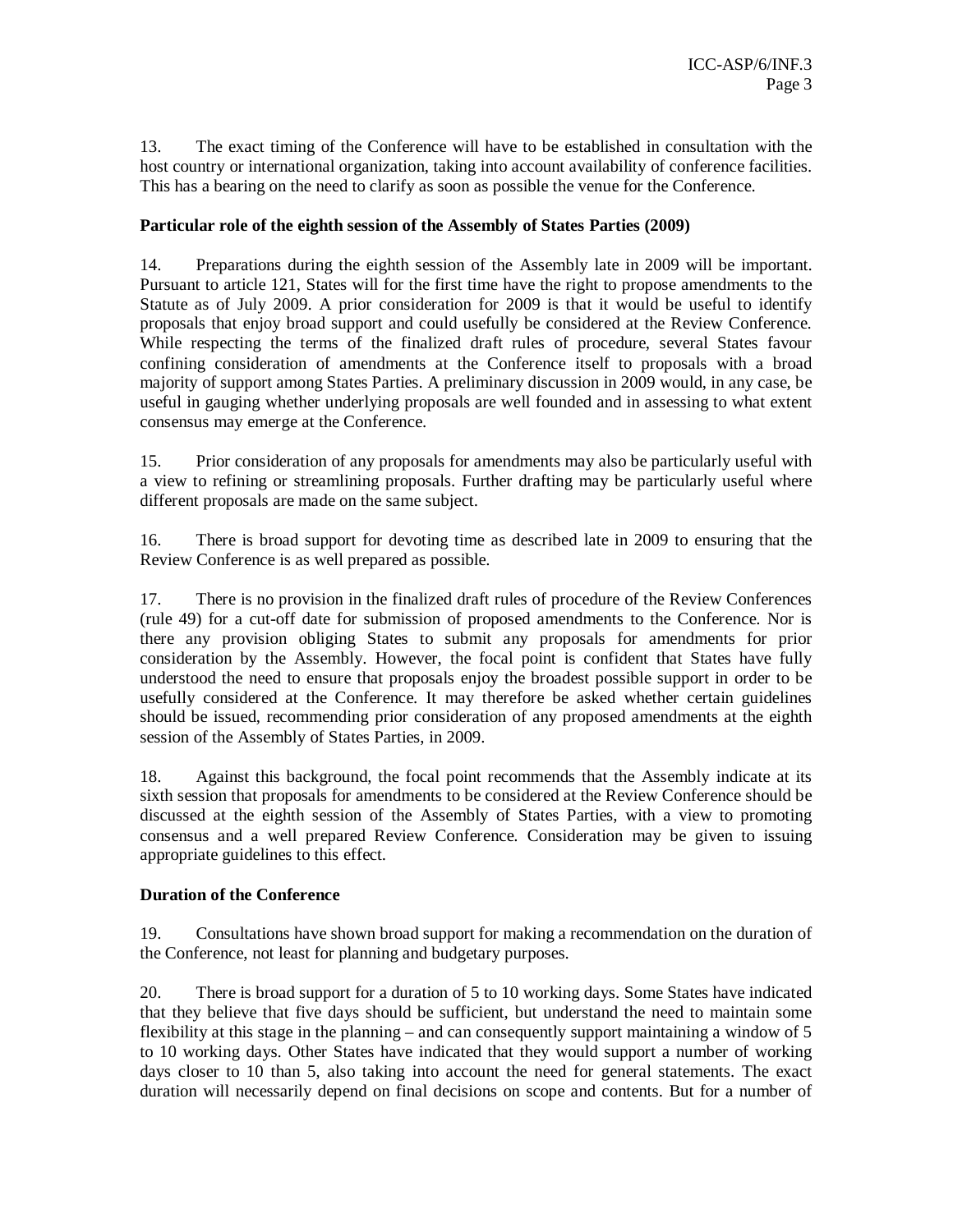13. The exact timing of the Conference will have to be established in consultation with the host country or international organization, taking into account availability of conference facilities. This has a bearing on the need to clarify as soon as possible the venue for the Conference.

## **Particular role of the eighth session of the Assembly of States Parties (2009)**

14. Preparations during the eighth session of the Assembly late in 2009 will be important. Pursuant to article 121, States will for the first time have the right to propose amendments to the Statute as of July 2009. A prior consideration for 2009 is that it would be useful to identify proposals that enjoy broad support and could usefully be considered at the Review Conference. While respecting the terms of the finalized draft rules of procedure, several States favour confining consideration of amendments at the Conference itself to proposals with a broad majority of support among States Parties. A preliminary discussion in 2009 would, in any case, be useful in gauging whether underlying proposals are well founded and in assessing to what extent consensus may emerge at the Conference.

15. Prior consideration of any proposals for amendments may also be particularly useful with a view to refining or streamlining proposals. Further drafting may be particularly useful where different proposals are made on the same subject.

16. There is broad support for devoting time as described late in 2009 to ensuring that the Review Conference is as well prepared as possible.

17. There is no provision in the finalized draft rules of procedure of the Review Conferences (rule 49) for a cut-off date for submission of proposed amendments to the Conference. Nor is there any provision obliging States to submit any proposals for amendments for prior consideration by the Assembly. However, the focal point is confident that States have fully understood the need to ensure that proposals enjoy the broadest possible support in order to be usefully considered at the Conference. It may therefore be asked whether certain guidelines should be issued, recommending prior consideration of any proposed amendments at the eighth session of the Assembly of States Parties, in 2009.

18. Against this background, the focal point recommends that the Assembly indicate at its sixth session that proposals for amendments to be considered at the Review Conference should be discussed at the eighth session of the Assembly of States Parties, with a view to promoting consensus and a well prepared Review Conference. Consideration may be given to issuing appropriate guidelines to this effect.

## **Duration of the Conference**

19. Consultations have shown broad support for making a recommendation on the duration of the Conference, not least for planning and budgetary purposes.

20. There is broad support for a duration of 5 to 10 working days. Some States have indicated that they believe that five days should be sufficient, but understand the need to maintain some flexibility at this stage in the planning – and can consequently support maintaining a window of 5 to 10 working days. Other States have indicated that they would support a number of working days closer to 10 than 5, also taking into account the need for general statements. The exact duration will necessarily depend on final decisions on scope and contents. But for a number of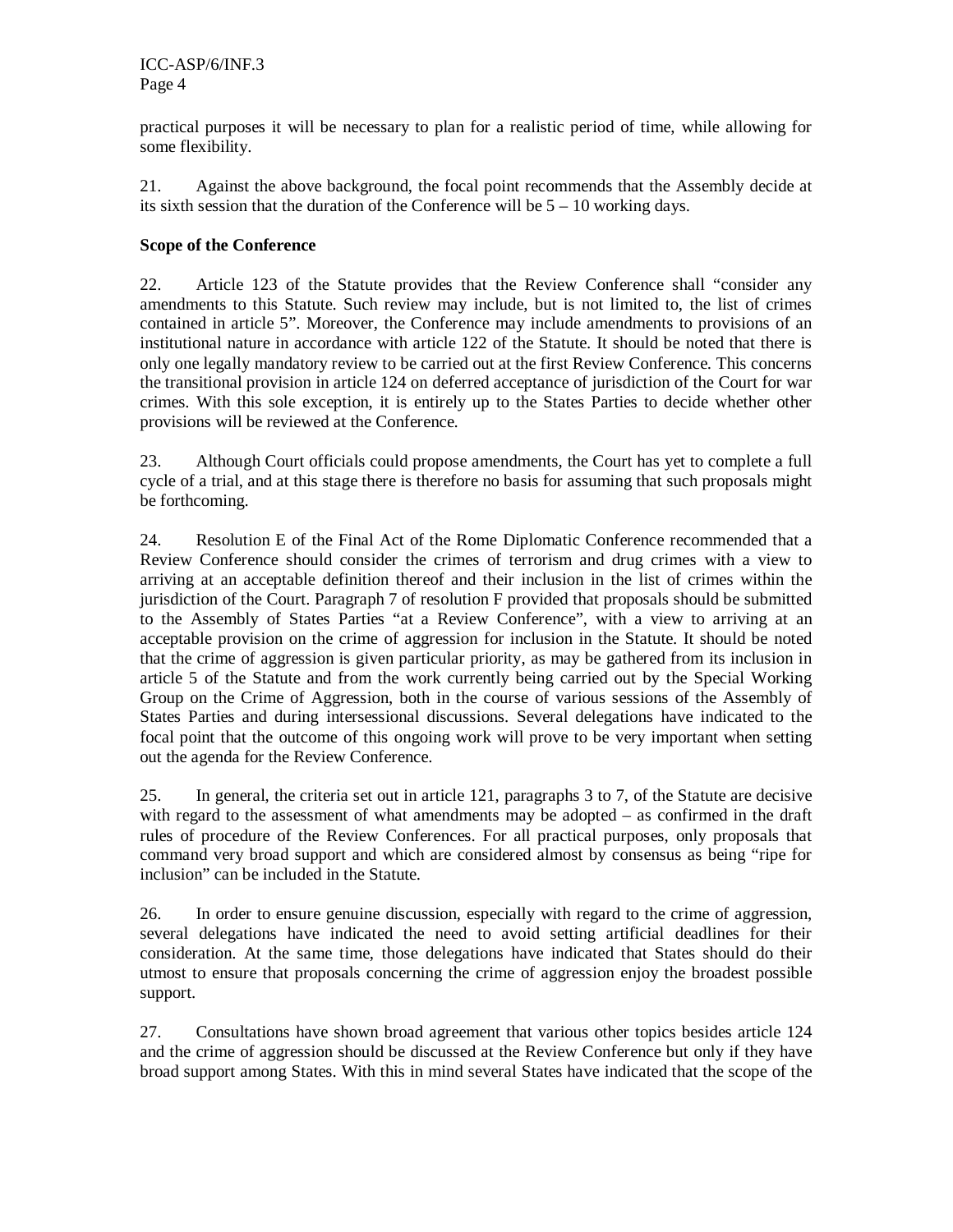practical purposes it will be necessary to plan for a realistic period of time, while allowing for some flexibility.

21. Against the above background, the focal point recommends that the Assembly decide at its sixth session that the duration of the Conference will be 5 – 10 working days.

# **Scope of the Conference**

22. Article 123 of the Statute provides that the Review Conference shall "consider any amendments to this Statute. Such review may include, but is not limited to, the list of crimes contained in article 5". Moreover, the Conference may include amendments to provisions of an institutional nature in accordance with article 122 of the Statute. It should be noted that there is only one legally mandatory review to be carried out at the first Review Conference. This concerns the transitional provision in article 124 on deferred acceptance of jurisdiction of the Court for war crimes. With this sole exception, it is entirely up to the States Parties to decide whether other provisions will be reviewed at the Conference.

23. Although Court officials could propose amendments, the Court has yet to complete a full cycle of a trial, and at this stage there is therefore no basis for assuming that such proposals might be forthcoming.

24. Resolution E of the Final Act of the Rome Diplomatic Conference recommended that a Review Conference should consider the crimes of terrorism and drug crimes with a view to arriving at an acceptable definition thereof and their inclusion in the list of crimes within the jurisdiction of the Court. Paragraph 7 of resolution F provided that proposals should be submitted to the Assembly of States Parties "at a Review Conference", with a view to arriving at an acceptable provision on the crime of aggression for inclusion in the Statute. It should be noted that the crime of aggression is given particular priority, as may be gathered from its inclusion in article 5 of the Statute and from the work currently being carried out by the Special Working Group on the Crime of Aggression, both in the course of various sessions of the Assembly of States Parties and during intersessional discussions. Several delegations have indicated to the focal point that the outcome of this ongoing work will prove to be very important when setting out the agenda for the Review Conference.

25. In general, the criteria set out in article 121, paragraphs 3 to 7, of the Statute are decisive with regard to the assessment of what amendments may be adopted – as confirmed in the draft rules of procedure of the Review Conferences. For all practical purposes, only proposals that command very broad support and which are considered almost by consensus as being "ripe for inclusion" can be included in the Statute.

26. In order to ensure genuine discussion, especially with regard to the crime of aggression, several delegations have indicated the need to avoid setting artificial deadlines for their consideration. At the same time, those delegations have indicated that States should do their utmost to ensure that proposals concerning the crime of aggression enjoy the broadest possible support.

27. Consultations have shown broad agreement that various other topics besides article 124 and the crime of aggression should be discussed at the Review Conference but only if they have broad support among States. With this in mind several States have indicated that the scope of the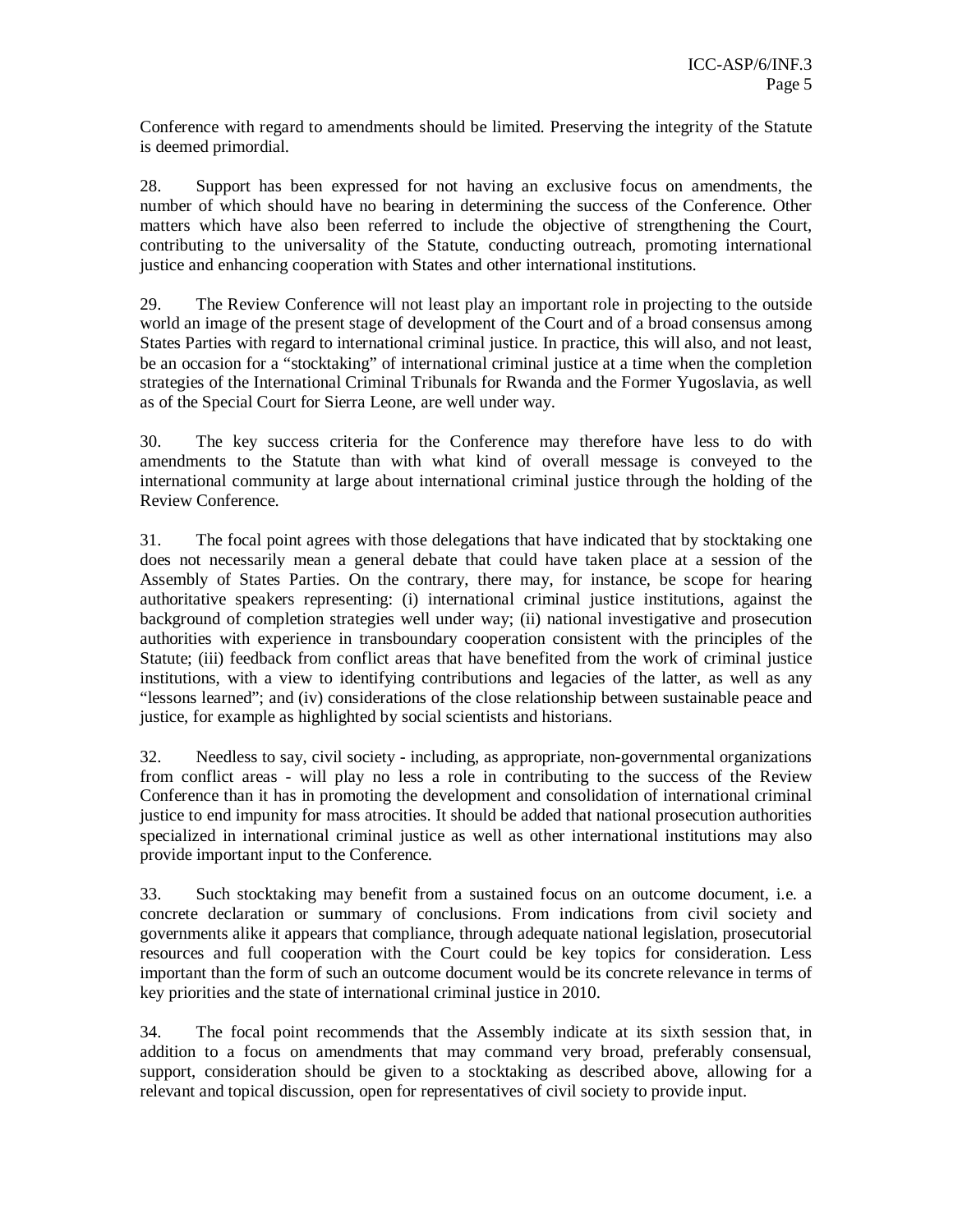Conference with regard to amendments should be limited. Preserving the integrity of the Statute is deemed primordial.

28. Support has been expressed for not having an exclusive focus on amendments, the number of which should have no bearing in determining the success of the Conference. Other matters which have also been referred to include the objective of strengthening the Court, contributing to the universality of the Statute, conducting outreach, promoting international justice and enhancing cooperation with States and other international institutions.

29. The Review Conference will not least play an important role in projecting to the outside world an image of the present stage of development of the Court and of a broad consensus among States Parties with regard to international criminal justice. In practice, this will also, and not least, be an occasion for a "stocktaking" of international criminal justice at a time when the completion strategies of the International Criminal Tribunals for Rwanda and the Former Yugoslavia, as well as of the Special Court for Sierra Leone, are well under way.

30. The key success criteria for the Conference may therefore have less to do with amendments to the Statute than with what kind of overall message is conveyed to the international community at large about international criminal justice through the holding of the Review Conference.

31. The focal point agrees with those delegations that have indicated that by stocktaking one does not necessarily mean a general debate that could have taken place at a session of the Assembly of States Parties. On the contrary, there may, for instance, be scope for hearing authoritative speakers representing: (i) international criminal justice institutions, against the background of completion strategies well under way; (ii) national investigative and prosecution authorities with experience in transboundary cooperation consistent with the principles of the Statute; (iii) feedback from conflict areas that have benefited from the work of criminal justice institutions, with a view to identifying contributions and legacies of the latter, as well as any "lessons learned"; and (iv) considerations of the close relationship between sustainable peace and justice, for example as highlighted by social scientists and historians.

32. Needless to say, civil society - including, as appropriate, non-governmental organizations from conflict areas - will play no less a role in contributing to the success of the Review Conference than it has in promoting the development and consolidation of international criminal justice to end impunity for mass atrocities. It should be added that national prosecution authorities specialized in international criminal justice as well as other international institutions may also provide important input to the Conference.

33. Such stocktaking may benefit from a sustained focus on an outcome document, i.e. a concrete declaration or summary of conclusions. From indications from civil society and governments alike it appears that compliance, through adequate national legislation, prosecutorial resources and full cooperation with the Court could be key topics for consideration. Less important than the form of such an outcome document would be its concrete relevance in terms of key priorities and the state of international criminal justice in 2010.

34. The focal point recommends that the Assembly indicate at its sixth session that, in addition to a focus on amendments that may command very broad, preferably consensual, support, consideration should be given to a stocktaking as described above, allowing for a relevant and topical discussion, open for representatives of civil society to provide input.